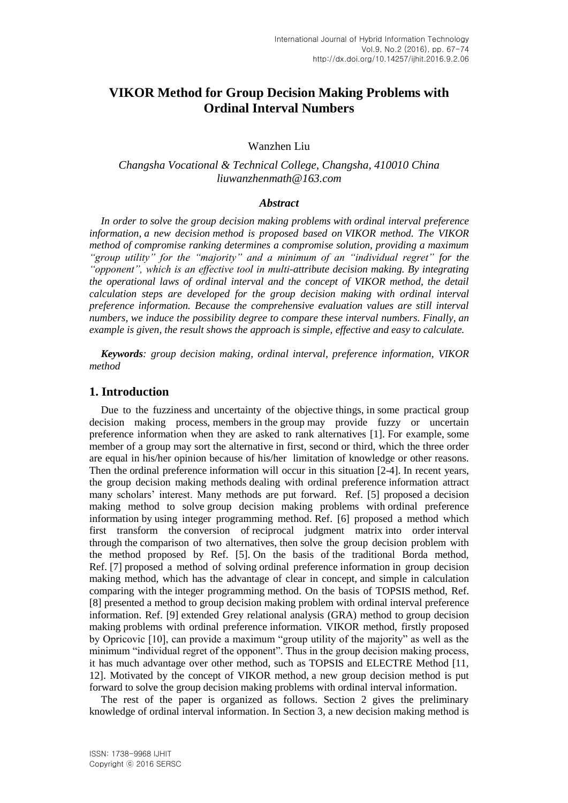# **VIKOR Method for Group Decision Making Problems with Ordinal Interval Numbers**

## Wanzhen Liu

## *Changsha Vocational & Technical College, Changsha, 410010 China liuwanzhenmath@163.com*

#### *Abstract*

*In order to solve the group decision making problems with ordinal interval preference information, a new decision method is proposed based on VIKOR method. The VIKOR method of compromise ranking determines a compromise solution, providing a maximum "group utility" for the "majority" and a minimum of an "individual regret" for the "opponent", which is an effective tool in multi-attribute decision making. By integrating the operational laws of ordinal interval and the concept of VIKOR method, the detail calculation steps are developed for the group decision making with ordinal interval preference information. Because the comprehensive evaluation values are still interval numbers, we induce the possibility degree to compare these interval numbers. Finally, an example is given, the result shows the approach is simple, effective and easy to calculate.*

*Keywords: group decision making, ordinal interval, preference information, VIKOR method*

## **1. Introduction**

Due to the fuzziness and uncertainty of the objective things, in some practical group decision making process, members in the group may provide fuzzy or uncertain preference information when they are asked to rank alternatives [1]. For example, some member of a group may sort the alternative in first, second or third, which the three order are equal in his/her opinion because of his/her limitation of knowledge or other reasons. Then the ordinal preference information will occur in this situation [2-4]. In recent years, the group decision making methods dealing with ordinal preference information attract many scholars' interest. Many methods are put forward. Ref. [5] proposed a decision making method to solve group decision making problems with ordinal preference information by using integer programming method. Ref. [6] proposed a method which first transform the conversion of reciprocal judgment matrix into order interval through the comparison of two alternatives, then solve the group decision problem with the method proposed by Ref. [5]. On the basis of the traditional Borda method, Ref. [7] proposed a method of solving ordinal preference information in group decision making method, which has the advantage of clear in concept, and simple in calculation comparing with the integer programming method. On the basis of TOPSIS method, Ref. [8] presented a method to group decision making problem with ordinal interval preference information. Ref. [9] extended Grey relational analysis (GRA) method to group decision making problems with ordinal preference information. VIKOR method, firstly proposed by Opricovic [10], can provide a maximum "group utility of the majority" as well as the minimum "individual regret of the opponent". Thus in the group decision making process, it has much advantage over other method, such as TOPSIS and ELECTRE Method [11, 12]. Motivated by the concept of VIKOR method, a new group decision method is put forward to solve the group decision making problems with ordinal interval information.

The rest of the paper is organized as follows. Section 2 gives the preliminary knowledge of ordinal interval information. In Section 3, a new decision making method is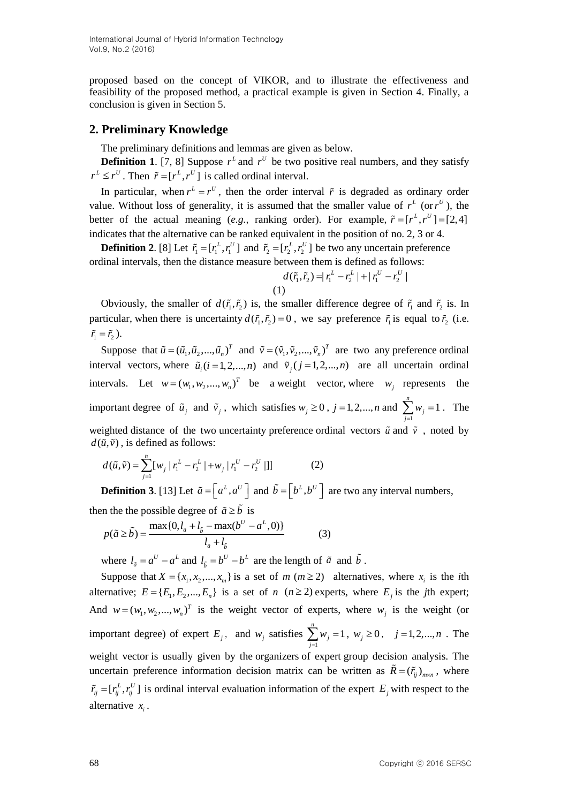proposed based on the concept of VIKOR, and to illustrate the effectiveness and feasibility of the proposed method, a practical example is given in Section 4. Finally, a conclusion is given in Section 5.

## **2. Preliminary Knowledge**

The preliminary definitions and lemmas are given as below.

**Definition 1.** [7, 8] Suppose  $r<sup>L</sup>$  and  $r<sup>U</sup>$  be two positive real numbers, and they satisfy  $r^L \leq r^U$ . Then  $\tilde{r} = [r^L, r^U]$  is called ordinal interval.

In particular, when  $r^L = r^U$ , then the order interval  $\tilde{r}$  is degraded as ordinary order value. Without loss of generality, it is assumed that the smaller value of  $r<sup>L</sup>$  (or  $r<sup>U</sup>$ ), the better of the actual meaning (*e.g.*, ranking order). For example,  $\tilde{r} = [r^L, r^U] = [2, 4]$ indicates that the alternative can be ranked equivalent in the position of no. 2, 3 or 4.

**Definition 2.** [8] Let  $\tilde{r}_1 = [r_1^L, r_1^U]$  and  $\tilde{r}_2 = [r_2^L, r_2^U]$  be two any uncertain preference ordinal intervals, then the distance measure between them is defined as follows:<br> $d(\tilde{r}_1, \tilde{r}_2) = |r_1^L - r_2^L| + |r_1^U - r_2^U|$ 

$$
d(\tilde{r}_1, \tilde{r}_2) = |r_1^L - r_2^L| + |r_1^U - r_2^U|
$$
  
(1)

Obviously, the smaller of  $d(\tilde{r}_1, \tilde{r}_2)$  is, the smaller difference degree of  $\tilde{r}_1$  and  $\tilde{r}_2$  is. In particular, when there is uncertainty  $d(\tilde{r}_1, \tilde{r}_2) = 0$ , we say preference  $\tilde{r}_1$  is equal to  $\tilde{r}_2$  (i.e.  $\tilde{r}_1 = \tilde{r}_2$ ).

Suppose that  $\tilde{u} = (\tilde{u}_1, \tilde{u}_2, ..., \tilde{u}_n)^T$  and  $\tilde{v} = (\tilde{v}_1, \tilde{v}_2, ..., \tilde{v}_n)^T$  are two any preference ordinal interval vectors, where  $\tilde{u}_i$  ( $i = 1, 2, ..., n$ ) and  $\tilde{v}_j$  ( $j = 1, 2, ..., n$ ) are all uncertain ordinal intervals. Let  $w = (w_1, w_2,..., w_n)^T$  be a weight vector, where  $w_j$  represents the important degree of  $\tilde{u}_j$  and  $\tilde{v}_j$ , which satisfies  $w_j \ge 0$ ,  $j = 1, 2, ..., n$  and 1  $\sum_{i=1}^{n} w_i = 1$  $\sum_{j=1}^{\infty}$ <sup>*w*</sup> *w*  $\sum_{j=1} w_j = 1$ . The weighted distance of the two uncertainty preference ordinal vectors  $\tilde{u}$  and  $\tilde{v}$ , noted by  $d(\tilde{u}, \tilde{v})$ , is defined as follows:

$$
d(\tilde{u}, \tilde{v}) = \sum_{j=1}^{n} [w_j | r_1^L - r_2^L | + w_j | r_1^U - r_2^U | ]
$$
 (2)

**Definition 3.** [13] Let  $\tilde{a} = \begin{bmatrix} a^L, a^U \end{bmatrix}$  and  $\tilde{b} = \begin{bmatrix} b^L, b^U \end{bmatrix}$  are two any interval numbers,

then the the possible degree of 
$$
\tilde{a} \ge \tilde{b}
$$
 is  
\n
$$
p(\tilde{a} \ge \tilde{b}) = \frac{\max\{0, l_{\tilde{a}} + l_{\tilde{b}} - \max(b^U - a^L, 0)\}}{l_{\tilde{a}} + l_{\tilde{b}}}
$$
\n(3)

where  $l_{\tilde{a}} = a^U - a^L$  and  $l_{\tilde{b}} = b^U - b^L$  $l_{\tilde{b}} = b^U - b^L$  are the length of  $\tilde{a}$  and  $b$ .

Suppose that  $X = \{x_1, x_2, ..., x_m\}$  is a set of  $m \ (m \geq 2)$  alternatives, where  $x_i$  is the *i*th alternative;  $E = \{E_1, E_2, ..., E_n\}$  is a set of *n* (*n* ≥ 2) experts, where  $E_j$  is the *j*th expert; And  $w = (w_1, w_2, ..., w_n)^T$  is the weight vector of experts, where  $w_j$  is the weight (or important degree) of expert  $E_j$ , and  $w_j$  satisfies 1  $\sum_{i=1}^{n} w_i = 1$  $\sum_{j=1}^{\infty}$ <sup>w</sup> j *w*  $\sum_{j=1}^{n} w_j = 1, w_j \ge 0, j = 1,2,...,n$ . The weight vector is usually given by the organizers of expert group decision analysis. The uncertain preference information decision matrix can be written as  $\tilde{R} = (\tilde{r}_{ij})_{m \times n}$ , where  $\tilde{r}_{ij} = [r_{ij}^L, r_{ij}^U]$  is ordinal interval evaluation information of the expert  $E_j$  with respect to the alternative  $x_i$ .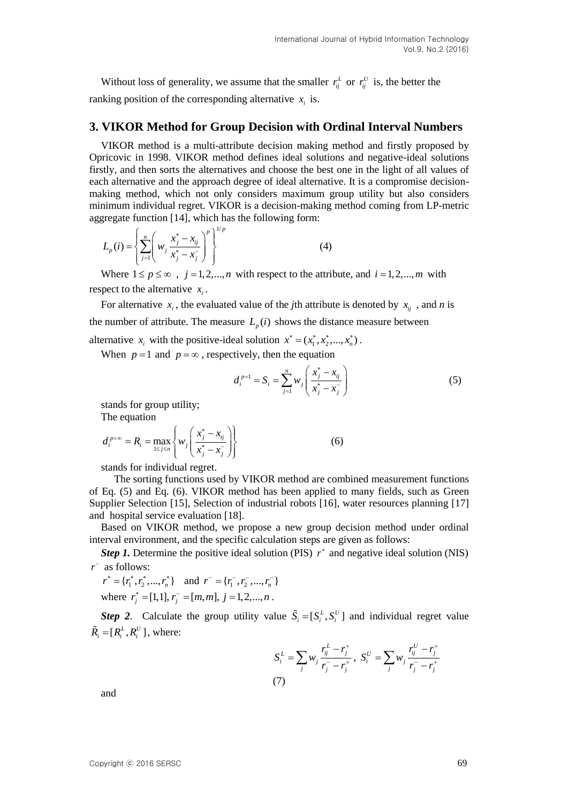Without loss of generality, we assume that the smaller  $r_i^L$  or  $r_{ij}^U$  is, the better the ranking position of the corresponding alternative  $x_i$  is.

#### **3. VIKOR Method for Group Decision with Ordinal Interval Numbers**

VIKOR method is a multi-attribute decision making method and firstly proposed by Opricovic in 1998. VIKOR method defines ideal solutions and negative-ideal solutions firstly, and then sorts the alternatives and choose the best one in the light of all values of each alternative and the approach degree of ideal alternative. It is a compromise decisionmaking method, which not only considers maximum group utility but also considers minimum individual regret. VIKOR is a decision-making method coming from LP-metric aggregate function [14], which has the following form:

$$
L_p(i) = \left\{ \sum_{j=1}^n \left( w_j \frac{x_j^* - x_{ij}}{x_j^* - x_j^-} \right)^p \right\}^{1/p}
$$
 (4)

Where  $1 \le p \le \infty$ ,  $j = 1, 2, ..., n$  with respect to the attribute, and  $i = 1, 2, ..., m$  with respect to the alternative  $x_i$ .

For alternative  $x_i$ , the evaluated value of the *j*th attribute is denoted by  $x_{ij}$ , and *n* is the number of attribute. The measure  $L_p(i)$  shows the distance measure between

alternative  $x_i$  with the positive-ideal solution  $x^* = (x_1^*, x_2^*, \dots, x_n^*)$ .

When  $p = 1$  and  $p = \infty$ , respectively, then the equation

$$
d_i^{p=1} = S_i = \sum_{j=1}^n w_j \left( \frac{x_j^* - x_{ij}}{x_j^* - x_j^-} \right)
$$
 (5)

stands for group utility; The equation

$$
d_i^{p=\infty} = R_i = \max_{1 \le j \le n} \left\{ w_j \left( \frac{x_j^* - x_{ij}}{x_j^* - x_j^-} \right) \right\}
$$
(6)

stands for individual regret.

 The sorting functions used by VIKOR method are combined measurement functions of Eq. (5) and Eq. (6). VIKOR method has been applied to many fields, such as Green Supplier Selection [15], Selection of industrial robots [16], water resources planning [17] and hospital service evaluation [18].

Based on VIKOR method, we propose a new group decision method under ordinal interval environment, and the specific calculation steps are given as follows:

*Step 1.* Determine the positive ideal solution (PIS)  $r^*$  and negative ideal solution (NIS) *r* as follows:

$$
r^* = \{r_1^*, r_2^*, \dots, r_n^*\} \text{ and } r^- = \{r_1^-, r_2^-, \dots, r_n^-\}
$$
  
where  $r_j^* = [1, 1], r_j^- = [m, m], j = 1, 2, \dots, n$ .

*Step 2*. Calculate the group utility value  $\tilde{S}_i = [S_i^L, S_i^U]$  and individual regret value  $\tilde{R}_i = [R_i^L, R_i^U]$ , where:

$$
S_i^L = \sum_j w_j \frac{r_{ij}^L - r_j^+}{r_j^- - r_j^+}, \ S_i^U = \sum_j w_j \frac{r_{ij}^U - r_j^+}{r_j^- - r_j^+}
$$
  
(7)

and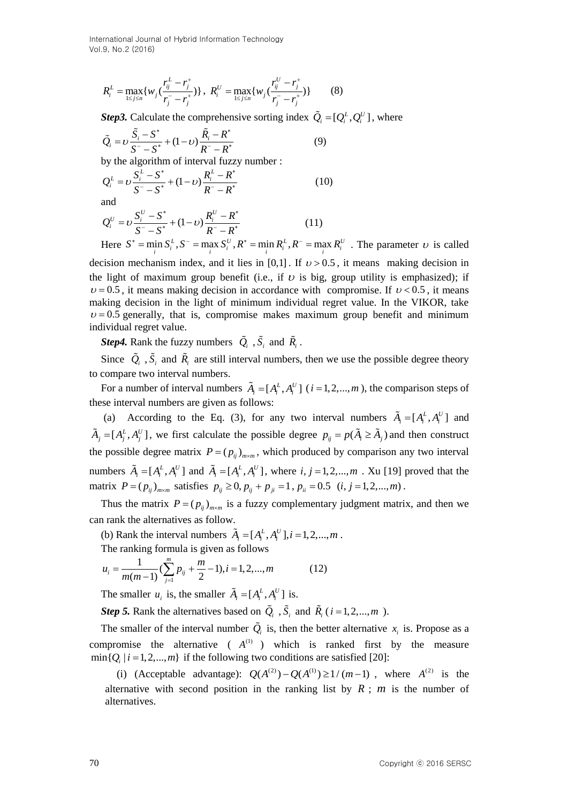International Journal of Hybrid Information Technology Vol.9, No.2 (2016)

$$
R_i^L = \max_{1 \le j \le n} \{ w_j \left( \frac{r_{ij}^L - r_j^+}{r_j^- - r_j^+} \right) \}, \ R_i^U = \max_{1 \le j \le n} \{ w_j \left( \frac{r_{ij}^U - r_j^+}{r_j^- - r_j^+} \right) \} \tag{8}
$$

*Step3.* Calculate the comprehensive sorting index  $\tilde{Q}_i = [Q_i^L, Q_i^U]$ , where

$$
\tilde{Q}_i = \upsilon \frac{\tilde{S}_i - S^*}{S^* - S^*} + (1 - \upsilon) \frac{\tilde{R}_i - R^*}{R^* - R^*}
$$
\nby the algorithm of interval fuzzy number :

\n(9)

by the algorithm of interval fuzzy number :

by the algorithm of interval fuzzy number :  
\n
$$
Q_i^L = v \frac{S_i^L - S^*}{S^* - S^*} + (1 - v) \frac{R_i^L - R^*}{R^* - R^*}
$$
\n(10)

and

and  
\n
$$
Q_i^U = \nu \frac{S_i^U - S^*}{S^* - S^*} + (1 - \nu) \frac{R_i^U - R^*}{R^* - R^*}
$$
\n(11)

 $Q_i^U = U \frac{I}{S^T - S^*} + (1 - U) \frac{I}{R^T - R^*}$  (11)<br>
Here  $S^* = \min_i S_i^L$ ,  $S^* = \max_i S_i^U$ ,  $R^* = \min_i R_i^L$ ,  $R^* = \max_i R_i^U$ . The parameter  $U$  is called decision mechanism index, and it lies in [0,1]. If  $v > 0.5$ , it means making decision in the light of maximum group benefit (i.e., if  $\nu$  is big, group utility is emphasized); if  $v = 0.5$ , it means making decision in accordance with compromise. If  $v < 0.5$ , it means making decision in the light of minimum individual regret value. In the VIKOR, take  $v = 0.5$  generally, that is, compromise makes maximum group benefit and minimum individual regret value.

*Step4*. Rank the fuzzy numbers  $Q_i$ ,  $S_i$  and  $\tilde{R}_i$ .

Since  $Q_i$ ,  $S_i$  and  $\tilde{R}_i$  are still interval numbers, then we use the possible degree theory to compare two interval numbers.

For a number of interval numbers  $\tilde{A}_i = [A_i^L, A_i^U]$  ( $i = 1, 2, ..., m$ ), the comparison steps of these interval numbers are given as follows:

(a) According to the Eq. (3), for any two interval numbers  $\tilde{A}_i = [A_i^L, A_i^U]$  and  $\tilde{A}_j = [A_j^L, A_j^U]$ , we first calculate the possible degree  $p_{ij} = p(\tilde{A}_i \ge \tilde{A}_j)$  and then construct the possible degree matrix  $P = (p_{ij})_{m \times m}$ , which produced by comparison any two interval numbers  $\tilde{A}_i = [A_i^L, A_i^U]$  and  $\tilde{A}_i = [A_i^L, A_i^U]$ , where  $i, j = 1, 2, ..., m$ . Xu [19] proved that the matrix  $P = (p_{ij})_{m \times m}$  satisfies  $p_{ij} \ge 0$ ,  $p_{ij} + p_{ji} = 1$ ,  $p_{ii} = 0.5$   $(i, j = 1, 2, ..., m)$ .

Thus the matrix  $P = (p_{ij})_{m \times m}$  is a fuzzy complementary judgment matrix, and then we can rank the alternatives as follow.

(b) Rank the interval numbers  $\tilde{A}_i = [A_i^L, A_i^U], i = 1, 2, ..., m$ .

The ranking formula is given as follows  
\n
$$
u_i = \frac{1}{m(m-1)} (\sum_{j=1}^{m} p_{ij} + \frac{m}{2} - 1), i = 1, 2, ..., m
$$
\n(12)

The smaller  $u_i$  is, the smaller  $\tilde{A}_i = [A_i^L, A_i^U]$  is.

*Step* 5. Rank the alternatives based on  $\hat{Q}_i$ ,  $\hat{S}_i$  and  $\hat{R}_i$  ( $i = 1, 2, ..., m$ ).

The smaller of the interval number  $Q_i$  is, then the better alternative  $x_i$  is. Propose as a compromise the alternative  $(A^{(1)})$  which is ranked first by the measure  $\min\{Q_i \mid i = 1, 2, ..., m\}$  if the following two conditions are satisfied [20]:

(i) (Acceptable advantage):  $Q(A^{(2)}) - Q(A^{(1)}) \ge 1/(m-1)$ , where  $A^{(2)}$  is the alternative with second position in the ranking list by  $R$ ;  $m$  is the number of alternatives.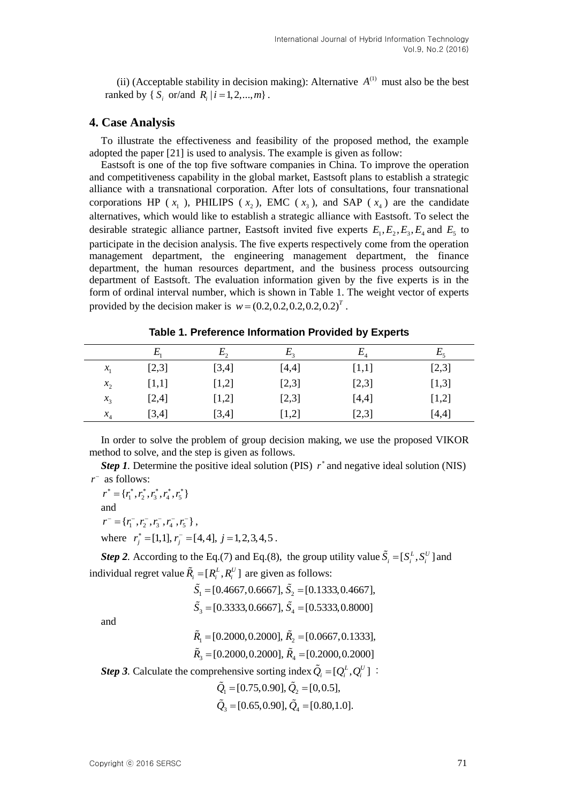(ii) (Acceptable stability in decision making): Alternative  $A^{(1)}$  must also be the best ranked by {  $S_i$  or/and  $R_i$  |  $i = 1, 2, ..., m$  }. |

## **4. Case Analysis**

To illustrate the effectiveness and feasibility of the proposed method, the example adopted the paper [21] is used to analysis. The example is given as follow:

Eastsoft is one of the top five software companies in China. To improve the operation and competitiveness capability in the global market, Eastsoft plans to establish a strategic alliance with a transnational corporation. After lots of consultations, four transnational corporations HP ( $x_1$ ), PHILIPS ( $x_2$ ), EMC ( $x_3$ ), and SAP ( $x_4$ ) are the candidate alternatives, which would like to establish a strategic alliance with Eastsoft. To select the desirable strategic alliance partner, Eastsoft invited five experts  $E_1, E_2, E_3, E_4$  and  $E_5$  to participate in the decision analysis. The five experts respectively come from the operation management department, the engineering management department, the finance department, the human resources department, and the business process outsourcing department of Eastsoft. The evaluation information given by the five experts is in the form of ordinal interval number, which is shown in Table 1. The weight vector of experts provided by the decision maker is  $w = (0.2, 0.2, 0.2, 0.2, 0.2)^T$ .

|         | $E_{\scriptscriptstyle 1}$ | $E_{2}$ | $E_{\rm z}$ | $E_{\scriptscriptstyle 4}$ | $E_{\rm s}$ |
|---------|----------------------------|---------|-------------|----------------------------|-------------|
| $x_{1}$ | [2,3]                      | [3,4]   | [4,4]       | [1,1]                      | [2,3]       |
| $x_{2}$ | [1,1]                      | [1,2]   | [2,3]       | [2,3]                      | [1,3]       |
| $x_3$   | [2,4]                      | [1,2]   | [2,3]       | [4,4]                      | [1,2]       |
| $x_{4}$ | [3,4]                      | [3,4]   | $[1,2]$     | [2,3]                      | [4,4]       |

**Table 1. Preference Information Provided by Experts**

In order to solve the problem of group decision making, we use the proposed VIKOR method to solve, and the step is given as follows.

*Step 1*. Determine the positive ideal solution (PIS)  $r^*$  and negative ideal solution (NIS) *r* as follows:

 $r^* = \{r_1^*, r_2^*, r_3^*, r_4^*, r_5^*\}$ and  $r^- = \{r_1^-, r_2^-, r_3^-, r_4^-, r_5^-\}$ where  $r_j^* = [1,1], r_j^- = [4,4], j = 1,2,3,4,5$ .

*Step* 2. According to the Eq.(7) and Eq.(8), the group utility value  $\tilde{S}_i = [S_i^L, S_i^U]$  and individual regret value  $\tilde{R}_i = [R_i^L, R_i^U]$  are given as follows:<br> $\tilde{S}_1 = [0.4667, 0.6667], \tilde{S}_2 = [0.1333, 0.4667],$ 

$$
\tilde{S}_1 = [0.4667, 0.6667], \tilde{S}_2 = [0.1333, 0.4667],
$$
  

$$
\tilde{S}_3 = [0.3333, 0.6667], \tilde{S}_4 = [0.5333, 0.8000]
$$

and

$$
\tilde{R}_1 = [0.2000, 0.2000], \tilde{R}_2 = [0.0667, 0.1333],
$$
  

$$
\tilde{R}_3 = [0.2000, 0.2000], \tilde{R}_4 = [0.2000, 0.2000]
$$

*Step* 3. Calculate the comprehensive sorting index  $\tilde{Q}_i = [Q_i^L, Q_i^U]$ :

$$
\tilde{Q}_1 = [0.75, 0.90], \tilde{Q}_2 = [0, 0.5],
$$
  

$$
\tilde{Q}_3 = [0.65, 0.90], \tilde{Q}_4 = [0.80, 1.0].
$$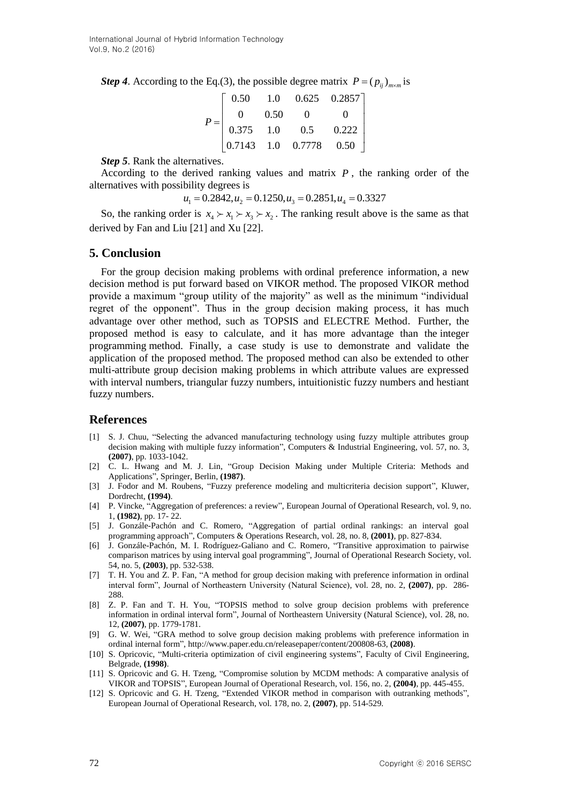**Step 4.** According to the Eq.(3), the possible degree matrix  $P = (p_{ij})_{m \times m}$  is<br>  $\begin{bmatrix} 0.50 & 1.0 & 0.625 & 0.2857 \end{bmatrix}$ 

|  | 0.50 |      |                                                                            | 1.0 $0.625$ 0.2857 |  |
|--|------|------|----------------------------------------------------------------------------|--------------------|--|
|  | 0    | 0.50 |                                                                            |                    |  |
|  |      | 1.0  |                                                                            | 0.222              |  |
|  |      |      | $\begin{bmatrix} 0.375 & 1.0 & 0.5 \\ 0.7143 & 1.0 & 0.7778 \end{bmatrix}$ | 0.50               |  |

*Step 5*. Rank the alternatives.

According to the derived ranking values and matrix  $P$ , the ranking order of the alternatives with possibility degrees is  $u_1 = 0.2842, u_2 = 0.1250, u_3 = 0.2851, u_4 = 0.3327$ 

$$
u_1 = 0.2842, u_2 = 0.1250, u_3 = 0.2851, u_4 = 0.3327
$$

So, the ranking order is  $x_4 \succ x_1 \succ x_3 \succ x_2$ . The ranking result above is the same as that derived by Fan and Liu [21] and Xu [22].

#### **5. Conclusion**

For the group decision making problems with ordinal preference information, a new decision method is put forward based on VIKOR method. The proposed VIKOR method provide a maximum "group utility of the majority" as well as the minimum "individual regret of the opponent". Thus in the group decision making process, it has much advantage over other method, such as TOPSIS and ELECTRE Method. Further, the proposed method is easy to calculate, and it has more advantage than the integer programming method. Finally, a case study is use to demonstrate and validate the application of the proposed method. The proposed method can also be extended to other multi-attribute group decision making problems in which attribute values are expressed with interval numbers, triangular fuzzy numbers, intuitionistic fuzzy numbers and hestiant fuzzy numbers.

#### **References**

- [1] S. J. Chuu, "Selecting the advanced manufacturing technology using fuzzy multiple attributes group decision making with multiple fuzzy information", Computers & Industrial Engineering, vol. 57, no. 3, **(2007)**, pp. 1033-1042.
- [2] C. L. Hwang and M. J. Lin, "Group Decision Making under Multiple Criteria: Methods and Applications", Springer, Berlin, **(1987)**.
- [3] J. Fodor and M. Roubens, "Fuzzy preference modeling and multicriteria decision support", Kluwer, Dordrecht, **(1994)**.
- [4] P. Vincke, "Aggregation of preferences: a review", European Journal of Operational Research, vol. 9, no. 1, **(1982)**, pp. 17- 22.
- [5] J. Gonzále-Pachón and C. Romero, "Aggregation of partial ordinal rankings: an interval goal programming approach", Computers & Operations Research, vol. 28, no. 8, **(2001)**, pp. 827-834.
- [6] J. Gonzále-Pachón, M. I. Rodríguez-Galiano and C. Romero, "Transitive approximation to pairwise comparison matrices by using interval goal programming", Journal of Operational Research Society, vol. 54, no. 5, **(2003)**, pp. 532-538.
- [7] T. H. You and Z. P. Fan, "A method for group decision making with preference information in ordinal interval form", Journal of Northeastern University (Natural Science), vol. 28, no. 2, **(2007)**, pp. 286- 288.
- [8] Z. P. Fan and T. H. You, "TOPSIS method to solve group decision problems with preference information in ordinal interval form", Journal of Northeastern University (Natural Science), vol. 28, no. 12, **(2007)**, pp. 1779-1781.
- [9] G. W. Wei, "GRA method to solve group decision making problems with preference information in ordinal internal form", [http://www.paper.edu.cn/releasepaper/content/200808-63,](http://www.paper.edu.cn/releasepaper/content/200808-63) **(2008)**.
- [10] S. Opricovic, "Multi-criteria optimization of civil engineering systems", Faculty of Civil Engineering, Belgrade, **(1998)**.
- [11] S. Opricovic and G. H. Tzeng, "Compromise solution by MCDM methods: A comparative analysis of VIKOR and TOPSIS", European Journal of Operational Research, vol. 156, no. 2, **(2004)**, pp. 445-455.
- [12] S. Opricovic and G. H. Tzeng, "Extended VIKOR method in comparison with outranking methods", European Journal of Operational Research, vol. 178, no. 2, **(2007)**, pp. 514-529.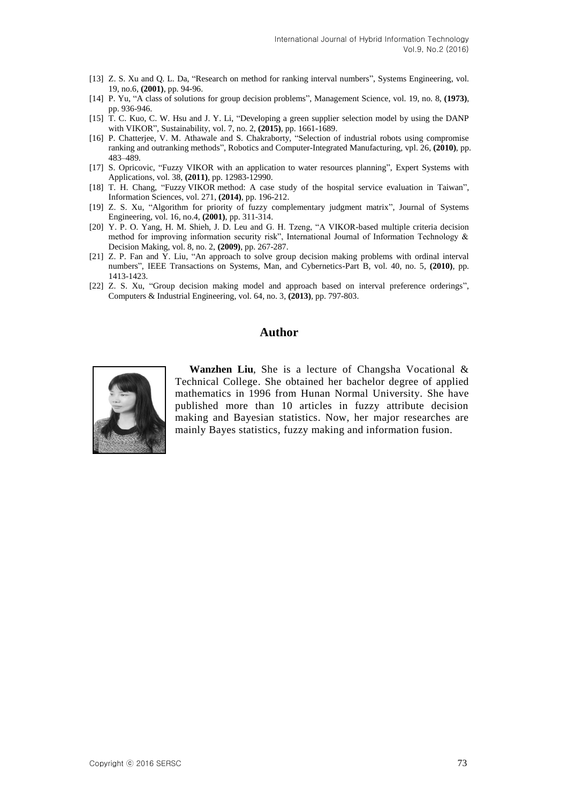- [13] Z. S. Xu and Q. L. Da, "Research on method for ranking interval numbers", Systems Engineering, vol. 19, no.6, **(2001)**, pp. 94-96.
- [14] P. Yu, "A class of solutions for group decision problems", Management Science, vol. 19, no. 8, **(1973)**, pp. 936-946.
- [15] T. C. Kuo, C. W. Hsu and J. Y. Li, "Developing a green supplier selection model by using the DANP with VIKOR", Sustainability, vol. 7, no. 2, **(2015)**, pp. 1661-1689.
- [16] P. Chatterjee, V. M. Athawale and S. Chakraborty, "Selection of industrial robots using compromise ranking and outranking methods", Robotics and Computer-Integrated Manufacturing, vpl. 26, **(2010)**, pp. 483–489.
- [17] S. Opricovic, "Fuzzy VIKOR with an application to water resources planning", Expert Systems with Applications, vol. 38, **(2011)**, pp. 12983-12990.
- [18] T. H. Chang, "Fuzzy VIKOR method: A case study of the hospital service evaluation in Taiwan", Information Sciences, vol. 271, **(2014)**, pp. 196-212.
- [19] Z. S. Xu, "Algorithm for priority of fuzzy complementary judgment matrix", Journal of Systems Engineering, vol. 16, no.4, **(2001)**, pp. 311-314.
- [20] Y. P. O. Yang, H. M. Shieh, J. D. Leu and G. H. Tzeng, "A VIKOR-based multiple criteria decision method for improving information security risk", International Journal of Information Technology & Decision Making, vol. 8, no. 2, **(2009)**, pp. 267-287.
- [21] Z. P. Fan and Y. Liu, "An approach to solve group decision making problems with ordinal interval numbers", IEEE Transactions on Systems, Man, and Cybernetics-Part B, vol. 40, no. 5, **(2010)**, pp. 1413-1423.
- [22] Z. S. Xu, "Group decision making model and approach based on interval preference orderings", Computers & Industrial Engineering, vol. 64, no. 3, **(2013)**, pp. 797-803.

## **Author**



**Wanzhen Liu**, She is a lecture of Changsha Vocational & Technical College. She obtained her bachelor degree of applied mathematics in 1996 from Hunan Normal University. She have published more than 10 articles in fuzzy attribute decision making and Bayesian statistics. Now, her major researches are mainly Bayes statistics, fuzzy making and information fusion.